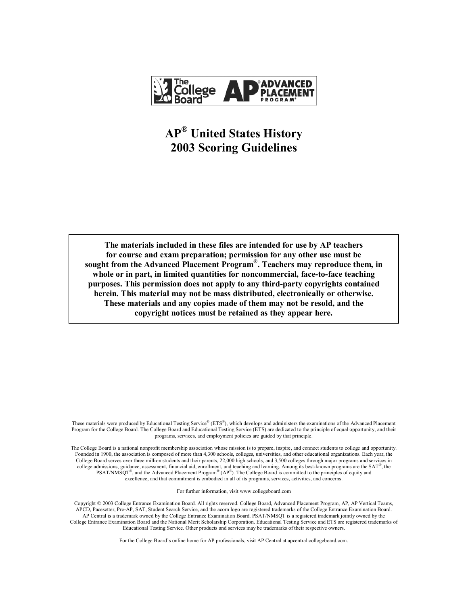

# **AP® United States History 2003 Scoring Guidelines**

**The materials included in these files are intended for use by AP teachers for course and exam preparation; permission for any other use must be sought from the Advanced Placement Program®. Teachers may reproduce them, in whole or in part, in limited quantities for noncommercial, face-to-face teaching purposes. This permission does not apply to any third-party copyrights contained herein. This material may not be mass distributed, electronically or otherwise. These materials and any copies made of them may not be resold, and the copyright notices must be retained as they appear here.** 

These materials were produced by Educational Testing Service® (ETS®), which develops and administers the examinations of the Advanced Placement Program for the College Board. The College Board and Educational Testing Service (ETS) are dedicated to the principle of equal opportunity, and their programs, services, and employment policies are guided by that principle.

The College Board is a national nonprofit membership association whose mission is to prepare, inspire, and connect students to college and opportunity. Founded in 1900, the association is composed of more than 4,300 schools, colleges, universities, and other educational organizations. Each year, the College Board serves over three million students and their parents, 22,000 high schools, and 3,500 colleges through major programs and services in college admissions, guidance, assessment, financial aid, enrollment, and teaching and learning. Among its best-known programs are the SAT®, the PSAT/NMSQT<sup>®</sup>, and the Advanced Placement Program<sup>®</sup> (AP<sup>®</sup>). The College Board is committed to the principles of equity and excellence, and that commitment is embodied in all of its programs, services, activities, and concerns.

For further information, visit www.collegeboard.com

Copyright © 2003 College Entrance Examination Board. All rights reserved. College Board, Advanced Placement Program, AP, AP Vertical Teams, APCD, Pacesetter, Pre-AP, SAT, Student Search Service, and the acorn logo are registered trademarks of the College Entrance Examination Board. AP Central is a trademark owned by the College Entrance Examination Board. PSAT/NMSQT is a registered trademark jointly owned by the College Entrance Examination Board and the National Merit Scholarship Corporation. Educational Testing Service and ETS are registered trademarks of Educational Testing Service. Other products and services may be trademarks of their respective owners.

For the College Board's online home for AP professionals, visit AP Central at apcentral.collegeboard.com.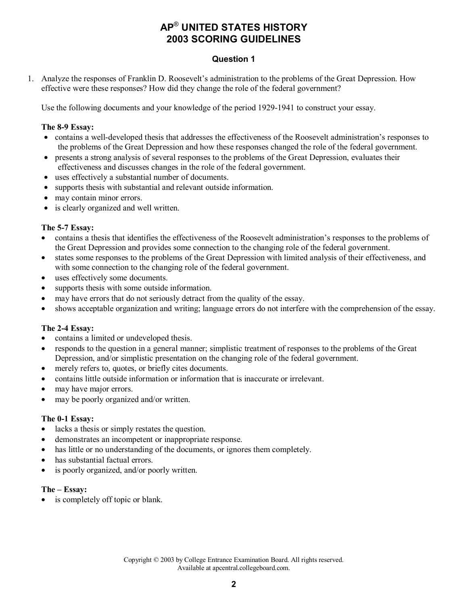# **Question 1**

1. Analyze the responses of Franklin D. Roosevelt's administration to the problems of the Great Depression. How effective were these responses? How did they change the role of the federal government?

Use the following documents and your knowledge of the period 1929-1941 to construct your essay.

#### **The 8-9 Essay:**

- contains a well-developed thesis that addresses the effectiveness of the Roosevelt administration's responses to the problems of the Great Depression and how these responses changed the role of the federal government.
- presents a strong analysis of several responses to the problems of the Great Depression, evaluates their effectiveness and discusses changes in the role of the federal government.
- uses effectively a substantial number of documents.
- supports thesis with substantial and relevant outside information.
- may contain minor errors.
- is clearly organized and well written.

#### **The 5-7 Essay:**

- contains a thesis that identifies the effectiveness of the Roosevelt administration's responses to the problems of the Great Depression and provides some connection to the changing role of the federal government.
- states some responses to the problems of the Great Depression with limited analysis of their effectiveness, and with some connection to the changing role of the federal government.
- uses effectively some documents.
- supports thesis with some outside information.
- may have errors that do not seriously detract from the quality of the essay.
- shows acceptable organization and writing; language errors do not interfere with the comprehension of the essay.

#### **The 2-4 Essay:**

- contains a limited or undeveloped thesis.
- responds to the question in a general manner; simplistic treatment of responses to the problems of the Great Depression, and/or simplistic presentation on the changing role of the federal government.
- merely refers to, quotes, or briefly cites documents.
- contains little outside information or information that is inaccurate or irrelevant.
- may have major errors.
- may be poorly organized and/or written.

#### **The 0-1 Essay:**

- lacks a thesis or simply restates the question.
- demonstrates an incompetent or inappropriate response.
- has little or no understanding of the documents, or ignores them completely.
- has substantial factual errors.
- is poorly organized, and/or poorly written.

#### **The – Essay:**

is completely off topic or blank.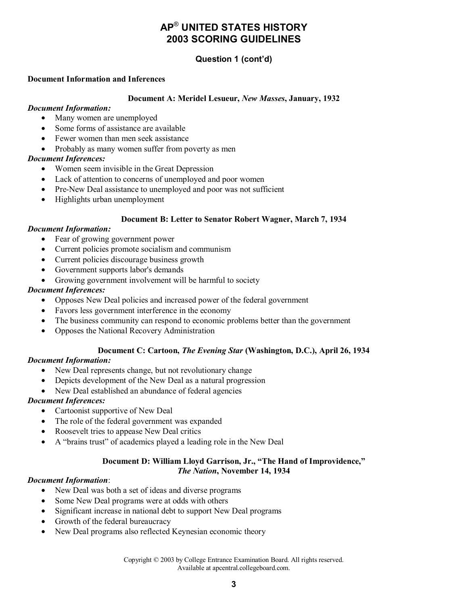# **Question 1 (cont'd)**

#### **Document Information and Inferences**

#### **Document A: Meridel Lesueur,** *New Masses***, January, 1932**

#### *Document Information:*

- Many women are unemployed
- Some forms of assistance are available
- Fewer women than men seek assistance
- Probably as many women suffer from poverty as men

# *Document Inferences:*

- Women seem invisible in the Great Depression
- Lack of attention to concerns of unemployed and poor women
- Pre-New Deal assistance to unemployed and poor was not sufficient
- Highlights urban unemployment

# **Document B: Letter to Senator Robert Wagner, March 7, 1934**

## *Document Information:*

- Fear of growing government power
- Current policies promote socialism and communism
- Current policies discourage business growth
- Government supports labor's demands
- Growing government involvement will be harmful to society

## *Document Inferences:*

- Opposes New Deal policies and increased power of the federal government
- Favors less government interference in the economy
- The business community can respond to economic problems better than the government
- Opposes the National Recovery Administration

## **Document C: Cartoon,** *The Evening Star* **(Washington, D.C.), April 26, 1934**

## *Document Information:*

- New Deal represents change, but not revolutionary change
- Depicts development of the New Deal as a natural progression
- New Deal established an abundance of federal agencies

## *Document Inferences:*

- Cartoonist supportive of New Deal
- The role of the federal government was expanded
- Roosevelt tries to appease New Deal critics
- A "brains trust" of academics played a leading role in the New Deal

#### **Document D: William Lloyd Garrison, Jr., "The Hand of Improvidence,"**  *The Nation***, November 14, 1934**

## *Document Information*:

- New Deal was both a set of ideas and diverse programs
- Some New Deal programs were at odds with others
- Significant increase in national debt to support New Deal programs
- Growth of the federal bureaucracy
- New Deal programs also reflected Keynesian economic theory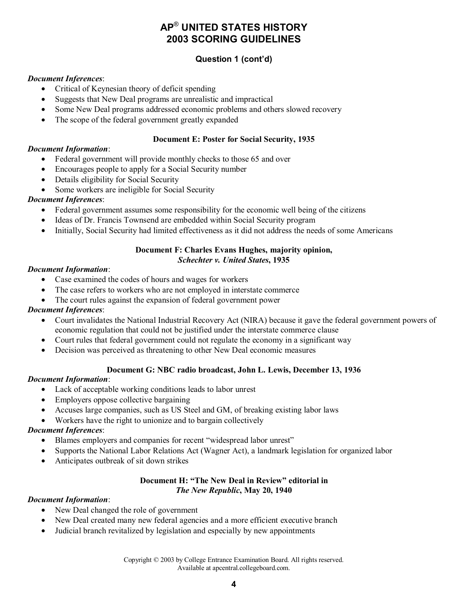# **Question 1 (cont'd)**

#### *Document Inferences*:

- Critical of Keynesian theory of deficit spending
- Suggests that New Deal programs are unrealistic and impractical
- Some New Deal programs addressed economic problems and others slowed recovery
- The scope of the federal government greatly expanded

#### **Document E: Poster for Social Security, 1935**

#### *Document Information*:

- Federal government will provide monthly checks to those 65 and over
- Encourages people to apply for a Social Security number
- Details eligibility for Social Security
- Some workers are ineligible for Social Security

## *Document Inferences*:

- Federal government assumes some responsibility for the economic well being of the citizens
- Ideas of Dr. Francis Townsend are embedded within Social Security program
- Initially, Social Security had limited effectiveness as it did not address the needs of some Americans

#### **Document F: Charles Evans Hughes, majority opinion,**  *Schechter v. United States***, 1935**

#### *Document Information*:

- Case examined the codes of hours and wages for workers
- The case refers to workers who are not employed in interstate commerce
- The court rules against the expansion of federal government power

## *Document Inferences*:

- Court invalidates the National Industrial Recovery Act (NIRA) because it gave the federal government powers of economic regulation that could not be justified under the interstate commerce clause
- Court rules that federal government could not regulate the economy in a significant way
- Decision was perceived as threatening to other New Deal economic measures

## **Document G: NBC radio broadcast, John L. Lewis, December 13, 1936**

## *Document Information*:

- Lack of acceptable working conditions leads to labor unrest
- Employers oppose collective bargaining
- Accuses large companies, such as US Steel and GM, of breaking existing labor laws
- Workers have the right to unionize and to bargain collectively

## *Document Inferences*:

- Blames employers and companies for recent "widespread labor unrest"
- Supports the National Labor Relations Act (Wagner Act), a landmark legislation for organized labor
- Anticipates outbreak of sit down strikes

#### **Document H: "The New Deal in Review" editorial in**  *The New Republic***, May 20, 1940**

#### *Document Information*:

- New Deal changed the role of government
- New Deal created many new federal agencies and a more efficient executive branch
- Judicial branch revitalized by legislation and especially by new appointments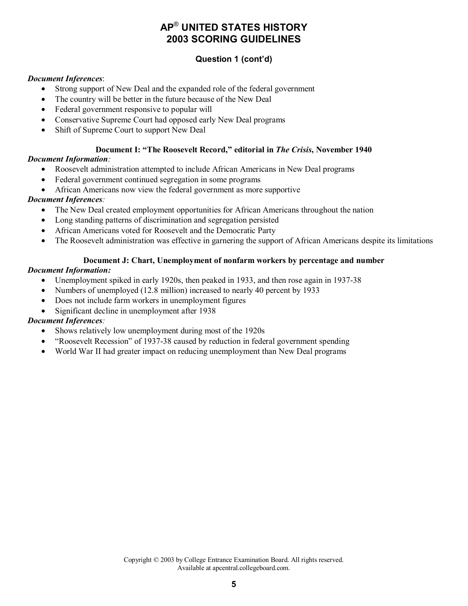# **Question 1 (cont'd)**

#### *Document Inferences*:

- Strong support of New Deal and the expanded role of the federal government
- The country will be better in the future because of the New Deal
- Federal government responsive to popular will
- Conservative Supreme Court had opposed early New Deal programs
- Shift of Supreme Court to support New Deal

# **Document I: "The Roosevelt Record," editorial in** *The Crisis***, November 1940**

## *Document Information:*

- Roosevelt administration attempted to include African Americans in New Deal programs
- Federal government continued segregation in some programs
- African Americans now view the federal government as more supportive

# *Document Inferences:*

- The New Deal created employment opportunities for African Americans throughout the nation
- Long standing patterns of discrimination and segregation persisted
- African Americans voted for Roosevelt and the Democratic Party
- The Roosevelt administration was effective in garnering the support of African Americans despite its limitations

## **Document J: Chart, Unemployment of nonfarm workers by percentage and number**

# *Document Information:*

- Unemployment spiked in early 1920s, then peaked in 1933, and then rose again in 1937-38
- Numbers of unemployed (12.8 million) increased to nearly 40 percent by 1933
- Does not include farm workers in unemployment figures
- Significant decline in unemployment after 1938

# *Document Inferences:*

- Shows relatively low unemployment during most of the 1920s
- "Roosevelt Recession" of 1937-38 caused by reduction in federal government spending
- World War II had greater impact on reducing unemployment than New Deal programs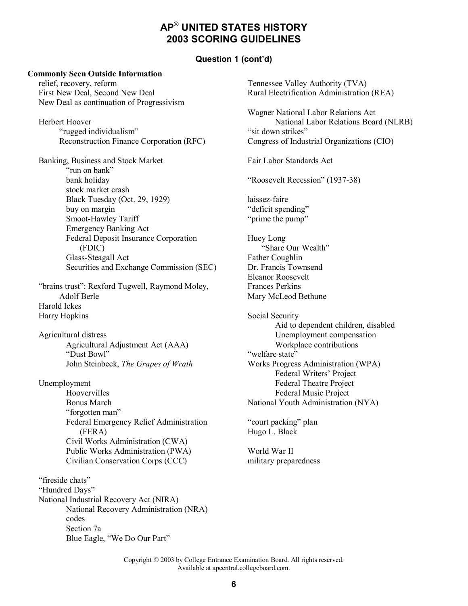#### **Question 1 (cont'd)**

#### **Commonly Seen Outside Information**

relief, recovery, reform First New Deal, Second New Deal New Deal as continuation of Progressivism

Herbert Hoover "rugged individualism" Reconstruction Finance Corporation (RFC)

Banking, Business and Stock Market "run on bank" bank holiday stock market crash Black Tuesday (Oct. 29, 1929) buy on margin Smoot-Hawley Tariff Emergency Banking Act Federal Deposit Insurance Corporation (FDIC) Glass-Steagall Act Securities and Exchange Commission (SEC)

"brains trust": Rexford Tugwell, Raymond Moley, Adolf Berle Harold Ickes Harry Hopkins

Agricultural distress Agricultural Adjustment Act (AAA) "Dust Bowl" John Steinbeck, *The Grapes of Wrath* 

Unemployment

Hoovervilles Bonus March "forgotten man" Federal Emergency Relief Administration (FERA) Civil Works Administration (CWA) Public Works Administration (PWA) Civilian Conservation Corps (CCC)

"fireside chats" "Hundred Days" National Industrial Recovery Act (NIRA) National Recovery Administration (NRA) codes Section 7a Blue Eagle, "We Do Our Part"

Tennessee Valley Authority (TVA) Rural Electrification Administration (REA) Wagner National Labor Relations Act National Labor Relations Board (NLRB) "sit down strikes" Congress of Industrial Organizations (CIO) Fair Labor Standards Act "Roosevelt Recession" (1937-38) laissez-faire "deficit spending" "prime the pump" Huey Long "Share Our Wealth" Father Coughlin Dr. Francis Townsend Eleanor Roosevelt Frances Perkins Mary McLeod Bethune Social Security Aid to dependent children, disabled Unemployment compensation Workplace contributions "welfare state" Works Progress Administration (WPA) Federal Writers' Project Federal Theatre Project Federal Music Project National Youth Administration (NYA) "court packing" plan Hugo L. Black World War II military preparedness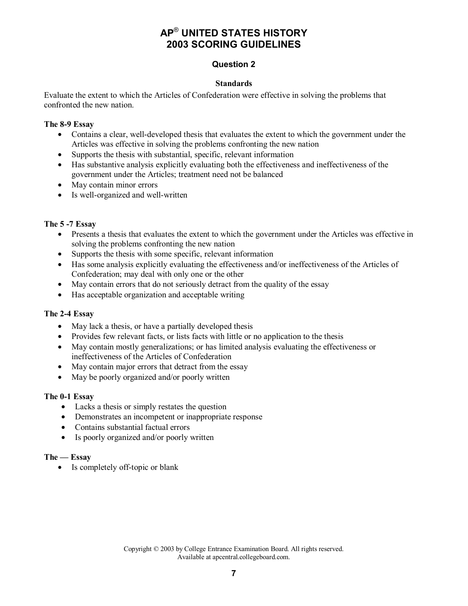# **Question 2**

#### **Standards**

Evaluate the extent to which the Articles of Confederation were effective in solving the problems that confronted the new nation.

#### **The 8-9 Essay**

- Contains a clear, well-developed thesis that evaluates the extent to which the government under the Articles was effective in solving the problems confronting the new nation
- Supports the thesis with substantial, specific, relevant information
- Has substantive analysis explicitly evaluating both the effectiveness and ineffectiveness of the government under the Articles; treatment need not be balanced
- May contain minor errors
- Is well-organized and well-written

#### **The 5 -7 Essay**

- Presents a thesis that evaluates the extent to which the government under the Articles was effective in solving the problems confronting the new nation
- Supports the thesis with some specific, relevant information
- Has some analysis explicitly evaluating the effectiveness and/or ineffectiveness of the Articles of Confederation; may deal with only one or the other
- May contain errors that do not seriously detract from the quality of the essay
- Has acceptable organization and acceptable writing

#### **The 2-4 Essay**

- May lack a thesis, or have a partially developed thesis
- Provides few relevant facts, or lists facts with little or no application to the thesis
- May contain mostly generalizations; or has limited analysis evaluating the effectiveness or ineffectiveness of the Articles of Confederation
- May contain major errors that detract from the essay
- May be poorly organized and/or poorly written

#### **The 0-1 Essay**

- Lacks a thesis or simply restates the question
- Demonstrates an incompetent or inappropriate response
- Contains substantial factual errors
- Is poorly organized and/or poorly written

#### **The — Essay**

• Is completely off-topic or blank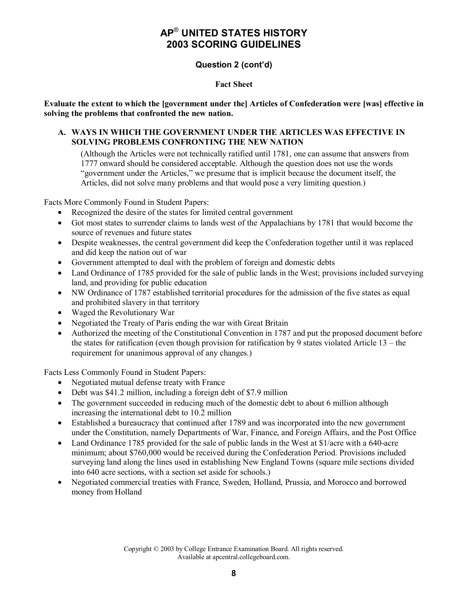# **Question 2 (cont'd)**

#### **Fact Sheet**

**Evaluate the extent to which the [government under the] Articles of Confederation were [was] effective in solving the problems that confronted the new nation.** 

#### **A. WAYS IN WHICH THE GOVERNMENT UNDER THE ARTICLES WAS EFFECTIVE IN SOLVING PROBLEMS CONFRONTING THE NEW NATION**

(Although the Articles were not technically ratified until 1781, one can assume that answers from 1777 onward should be considered acceptable. Although the question does not use the words "government under the Articles," we presume that is implicit because the document itself, the Articles, did not solve many problems and that would pose a very limiting question.)

Facts More Commonly Found in Student Papers:

- Recognized the desire of the states for limited central government
- Got most states to surrender claims to lands west of the Appalachians by 1781 that would become the source of revenues and future states
- Despite weaknesses, the central government did keep the Confederation together until it was replaced and did keep the nation out of war
- Government attempted to deal with the problem of foreign and domestic debts
- Land Ordinance of 1785 provided for the sale of public lands in the West; provisions included surveying land, and providing for public education
- NW Ordinance of 1787 established territorial procedures for the admission of the five states as equal and prohibited slavery in that territory
- Waged the Revolutionary War
- Negotiated the Treaty of Paris ending the war with Great Britain
- Authorized the meeting of the Constitutional Convention in 1787 and put the proposed document before the states for ratification (even though provision for ratification by 9 states violated Article 13 – the requirement for unanimous approval of any changes.)

Facts Less Commonly Found in Student Papers:

- Negotiated mutual defense treaty with France
- Debt was \$41.2 million, including a foreign debt of \$7.9 million
- The government succeeded in reducing much of the domestic debt to about 6 million although increasing the international debt to 10.2 million
- Established a bureaucracy that continued after 1789 and was incorporated into the new government under the Constitution, namely Departments of War, Finance, and Foreign Affairs, and the Post Office
- Land Ordinance 1785 provided for the sale of public lands in the West at \$1/acre with a 640-acre minimum; about \$760,000 would be received during the Confederation Period. Provisions included surveying land along the lines used in establishing New England Towns (square mile sections divided into 640 acre sections, with a section set aside for schools.)
- Negotiated commercial treaties with France, Sweden, Holland, Prussia, and Morocco and borrowed money from Holland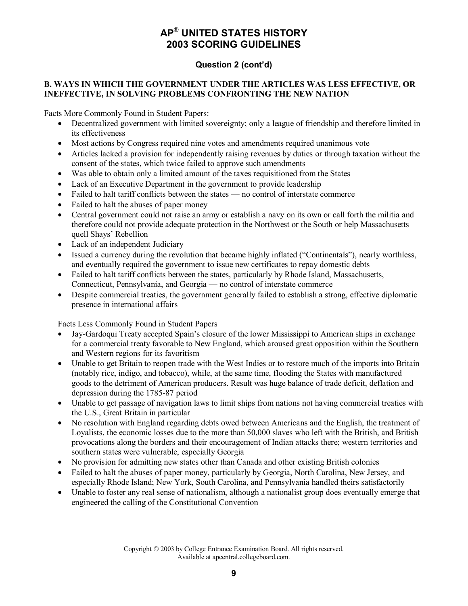# **Question 2 (cont'd)**

# **B. WAYS IN WHICH THE GOVERNMENT UNDER THE ARTICLES WAS LESS EFFECTIVE, OR INEFFECTIVE, IN SOLVING PROBLEMS CONFRONTING THE NEW NATION**

Facts More Commonly Found in Student Papers:

- Decentralized government with limited sovereignty; only a league of friendship and therefore limited in its effectiveness
- Most actions by Congress required nine votes and amendments required unanimous vote
- Articles lacked a provision for independently raising revenues by duties or through taxation without the consent of the states, which twice failed to approve such amendments
- Was able to obtain only a limited amount of the taxes requisitioned from the States
- Lack of an Executive Department in the government to provide leadership
- Failed to halt tariff conflicts between the states no control of interstate commerce
- Failed to halt the abuses of paper money
- Central government could not raise an army or establish a navy on its own or call forth the militia and therefore could not provide adequate protection in the Northwest or the South or help Massachusetts quell Shays' Rebellion
- Lack of an independent Judiciary
- Issued a currency during the revolution that became highly inflated ("Continentals"), nearly worthless, and eventually required the government to issue new certificates to repay domestic debts
- Failed to halt tariff conflicts between the states, particularly by Rhode Island, Massachusetts, Connecticut, Pennsylvania, and Georgia — no control of interstate commerce
- Despite commercial treaties, the government generally failed to establish a strong, effective diplomatic presence in international affairs

Facts Less Commonly Found in Student Papers

- Jay-Gardoqui Treaty accepted Spain's closure of the lower Mississippi to American ships in exchange for a commercial treaty favorable to New England, which aroused great opposition within the Southern and Western regions for its favoritism
- Unable to get Britain to reopen trade with the West Indies or to restore much of the imports into Britain (notably rice, indigo, and tobacco), while, at the same time, flooding the States with manufactured goods to the detriment of American producers. Result was huge balance of trade deficit, deflation and depression during the 1785-87 period
- Unable to get passage of navigation laws to limit ships from nations not having commercial treaties with the U.S., Great Britain in particular
- No resolution with England regarding debts owed between Americans and the English, the treatment of Loyalists, the economic losses due to the more than 50,000 slaves who left with the British, and British provocations along the borders and their encouragement of Indian attacks there; western territories and southern states were vulnerable, especially Georgia
- No provision for admitting new states other than Canada and other existing British colonies
- Failed to halt the abuses of paper money, particularly by Georgia, North Carolina, New Jersey, and especially Rhode Island; New York, South Carolina, and Pennsylvania handled theirs satisfactorily
- Unable to foster any real sense of nationalism, although a nationalist group does eventually emerge that engineered the calling of the Constitutional Convention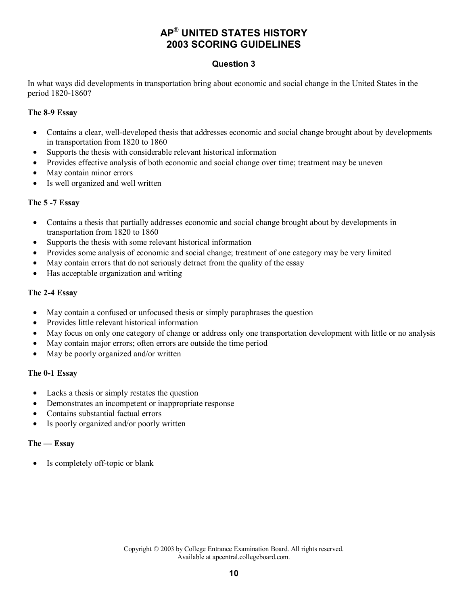# **Question 3**

In what ways did developments in transportation bring about economic and social change in the United States in the period 1820-1860?

## **The 8-9 Essay**

- Contains a clear, well-developed thesis that addresses economic and social change brought about by developments in transportation from 1820 to 1860
- Supports the thesis with considerable relevant historical information
- Provides effective analysis of both economic and social change over time; treatment may be uneven
- May contain minor errors
- Is well organized and well written

## **The 5 -7 Essay**

- Contains a thesis that partially addresses economic and social change brought about by developments in transportation from 1820 to 1860
- Supports the thesis with some relevant historical information
- Provides some analysis of economic and social change; treatment of one category may be very limited
- May contain errors that do not seriously detract from the quality of the essay
- Has acceptable organization and writing

## **The 2-4 Essay**

- May contain a confused or unfocused thesis or simply paraphrases the question
- Provides little relevant historical information
- May focus on only one category of change or address only one transportation development with little or no analysis
- May contain major errors; often errors are outside the time period
- May be poorly organized and/or written

## **The 0-1 Essay**

- Lacks a thesis or simply restates the question
- Demonstrates an incompetent or inappropriate response
- Contains substantial factual errors
- Is poorly organized and/or poorly written

#### **The — Essay**

• Is completely off-topic or blank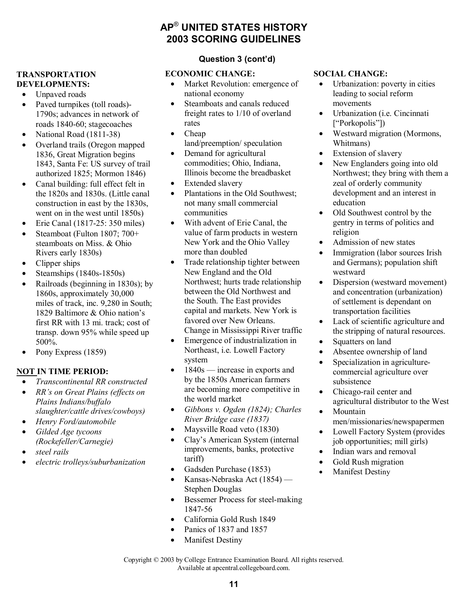#### **TRANSPORTATION DEVELOPMENTS:**

- Unpaved roads
- Paved turnpikes (toll roads)-1790s; advances in network of roads 1840-60; stagecoaches
- National Road (1811-38)
- Overland trails (Oregon mapped 1836, Great Migration begins 1843, Santa Fe: US survey of trail authorized 1825; Mormon 1846)
- Canal building: full effect felt in the 1820s and 1830s. (Little canal construction in east by the 1830s, went on in the west until 1850s)
- Erie Canal (1817-25: 350 miles)
- Steamboat (Fulton 1807: 700+ steamboats on Miss. & Ohio Rivers early 1830s)
- Clipper ships
- Steamships (1840s-1850s)
- Railroads (beginning in 1830s); by 1860s, approximately 30,000 miles of track, inc. 9,280 in South; 1829 Baltimore & Ohio nation's first RR with 13 mi. track; cost of transp. down 95% while speed up 500%.
- Pony Express (1859)

# **NOT IN TIME PERIOD:**

- *Transcontinental RR constructed*
- *RR's on Great Plains (effects on Plains Indians/buffalo*
- *slaughter/cattle drives/cowboys)*
- *Henry Ford/automobile*
- *Gilded Age tycoons (Rockefeller/Carnegie)*
- *steel rails*
- *electric trolleys/suburbanization*

# **AP**® **UNITED STATES HISTORY 2003 SCORING GUIDELINES**

# **Question 3 (cont'd)**

# **ECONOMIC CHANGE:**

- Market Revolution: emergence of national economy
- Steamboats and canals reduced freight rates to 1/10 of overland rates
- Cheap land/preemption/ speculation
- Demand for agricultural commodities; Ohio, Indiana, Illinois become the breadbasket
- Extended slavery
- Plantations in the Old Southwest; not many small commercial communities
- With advent of Erie Canal, the value of farm products in western New York and the Ohio Valley more than doubled
- Trade relationship tighter between New England and the Old Northwest; hurts trade relationship between the Old Northwest and the South. The East provides capital and markets. New York is favored over New Orleans. Change in Mississippi River traffic
- Emergence of industrialization in Northeast, i.e. Lowell Factory system
- 1840s increase in exports and by the 1850s American farmers are becoming more competitive in the world market
- *Gibbons v. Ogden (1824); Charles River Bridge case (1837)*
- Maysville Road veto (1830)
- Clay's American System (internal improvements, banks, protective tariff)
- Gadsden Purchase (1853)
- Kansas-Nebraska Act (1854) Stephen Douglas
- Bessemer Process for steel-making 1847-56
- California Gold Rush 1849
- Panics of 1837 and 1857
- Manifest Destiny

# **SOCIAL CHANGE:**

- Urbanization: poverty in cities leading to social reform movements
- Urbanization (i.e. Cincinnati ["Porkopolis"])
- Westward migration (Mormons, Whitmans)
- Extension of slavery
- New Englanders going into old Northwest; they bring with them a zeal of orderly community development and an interest in education
- Old Southwest control by the gentry in terms of politics and religion
- Admission of new states
- Immigration (labor sources Irish) and Germans); population shift westward
- Dispersion (westward movement) and concentration (urbanization) of settlement is dependant on transportation facilities
- Lack of scientific agriculture and the stripping of natural resources.
- Squatters on land
- Absentee ownership of land
- Specialization in agriculturecommercial agriculture over subsistence
- Chicago-rail center and agricultural distributor to the West
- Mountain men/missionaries/newspapermen
- Lowell Factory System (provides job opportunities; mill girls)
- Indian wars and removal
- Gold Rush migration
- Manifest Destiny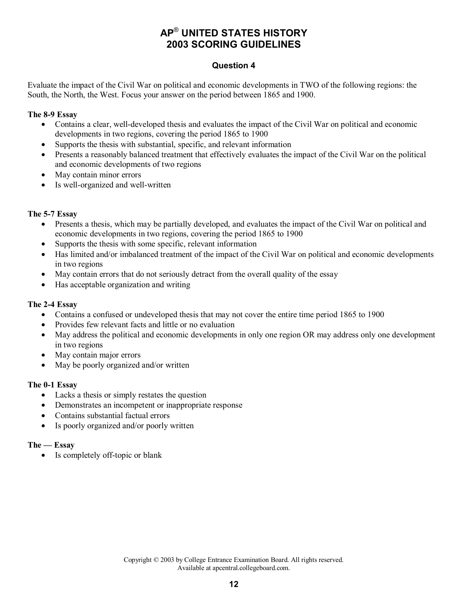# **Question 4**

Evaluate the impact of the Civil War on political and economic developments in TWO of the following regions: the South, the North, the West. Focus your answer on the period between 1865 and 1900.

#### **The 8-9 Essay**

- Contains a clear, well-developed thesis and evaluates the impact of the Civil War on political and economic developments in two regions, covering the period 1865 to 1900
- Supports the thesis with substantial, specific, and relevant information
- Presents a reasonably balanced treatment that effectively evaluates the impact of the Civil War on the political and economic developments of two regions
- May contain minor errors
- Is well-organized and well-written

## **The 5-7 Essay**

- Presents a thesis, which may be partially developed, and evaluates the impact of the Civil War on political and economic developments in two regions, covering the period 1865 to 1900
- Supports the thesis with some specific, relevant information
- Has limited and/or imbalanced treatment of the impact of the Civil War on political and economic developments in two regions
- May contain errors that do not seriously detract from the overall quality of the essay
- Has acceptable organization and writing

## **The 2-4 Essay**

- Contains a confused or undeveloped thesis that may not cover the entire time period 1865 to 1900
- Provides few relevant facts and little or no evaluation
- May address the political and economic developments in only one region OR may address only one development in two regions
- May contain major errors
- May be poorly organized and/or written

## **The 0-1 Essay**

- Lacks a thesis or simply restates the question
- Demonstrates an incompetent or inappropriate response
- Contains substantial factual errors
- Is poorly organized and/or poorly written

#### **The — Essay**

Is completely off-topic or blank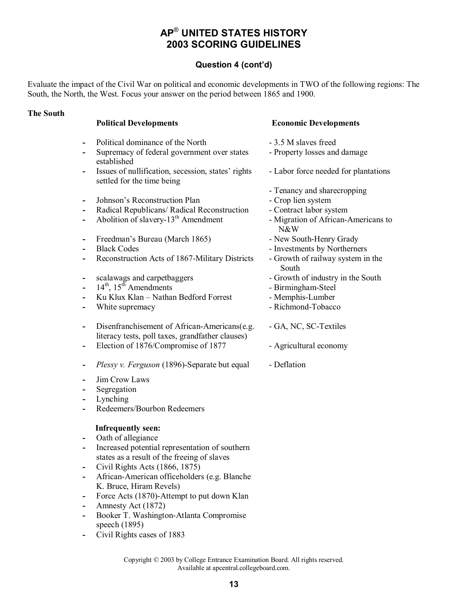# **Question 4 (cont'd)**

Evaluate the impact of the Civil War on political and economic developments in TWO of the following regions: The South, the North, the West. Focus your answer on the period between 1865 and 1900.

#### **The South**

|                                      | <b>Political Developments</b>                                                                                                                                                                                                                                                                                                                                                                                               | <b>Economic Developments</b>                                                                                                                                                                                                                                                                                                             |
|--------------------------------------|-----------------------------------------------------------------------------------------------------------------------------------------------------------------------------------------------------------------------------------------------------------------------------------------------------------------------------------------------------------------------------------------------------------------------------|------------------------------------------------------------------------------------------------------------------------------------------------------------------------------------------------------------------------------------------------------------------------------------------------------------------------------------------|
| -<br>-                               | Political dominance of the North<br>Supremacy of federal government over states<br>established                                                                                                                                                                                                                                                                                                                              | - 3.5 M slaves freed<br>- Property losses and damage                                                                                                                                                                                                                                                                                     |
| -                                    | Issues of nullification, secession, states' rights<br>settled for the time being                                                                                                                                                                                                                                                                                                                                            | - Labor force needed for plantations                                                                                                                                                                                                                                                                                                     |
| -<br>-<br>-<br>-<br>-<br>-<br>-<br>- | Johnson's Reconstruction Plan<br>Radical Republicans/ Radical Reconstruction<br>Abolition of slavery-13 <sup>th</sup> Amendment<br>Freedman's Bureau (March 1865)<br><b>Black Codes</b><br>Reconstruction Acts of 1867-Military Districts<br>scalawags and carpetbaggers<br>$14th$ , $15th$ Amendments<br>Ku Klux Klan - Nathan Bedford Forrest<br>White supremacy                                                          | - Tenancy and sharecropping<br>- Crop lien system<br>- Contract labor system<br>- Migration of African-Americans to<br>N&W<br>- New South-Henry Grady<br>- Investments by Northerners<br>- Growth of railway system in the<br>South<br>- Growth of industry in the South<br>- Birmingham-Steel<br>- Memphis-Lumber<br>- Richmond-Tobacco |
| -<br>-<br>-<br>-<br>-                | Disenfranchisement of African-Americans(e.g.<br>literacy tests, poll taxes, grandfather clauses)<br>Election of 1876/Compromise of 1877<br>Plessy v. Ferguson (1896)-Separate but equal<br>Jim Crow Laws<br>Segregation<br>Lynching<br>Redeemers/Bourbon Redeemers                                                                                                                                                          | - GA, NC, SC-Textiles<br>- Agricultural economy<br>- Deflation                                                                                                                                                                                                                                                                           |
| -<br>۰<br>۰                          | <b>Infrequently seen:</b><br>Oath of allegiance<br>Increased potential representation of southern<br>states as a result of the freeing of slaves<br>Civil Rights Acts (1866, 1875)<br>African-American officeholders (e.g. Blanche<br>K. Bruce, Hiram Revels)<br>Force Acts (1870)-Attempt to put down Klan<br>Amnesty Act (1872)<br>Booker T. Washington-Atlanta Compromise<br>speech (1895)<br>Civil Rights cases of 1883 |                                                                                                                                                                                                                                                                                                                                          |

**13**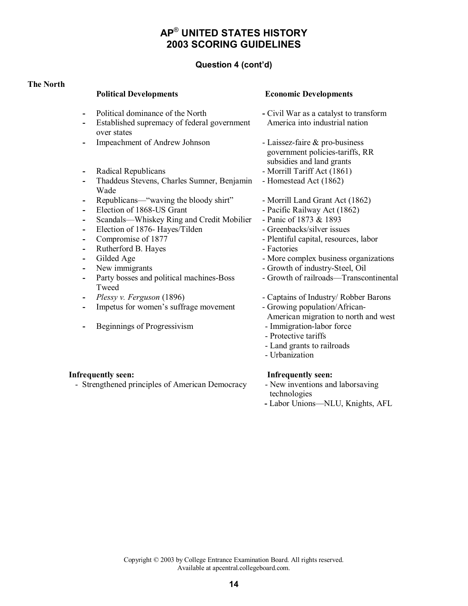# **Question 4 (cont'd)**

#### **The North**

#### **Political Developments Economic Developments**

- 
- 
- Established supremacy of federal government over states
- Impeachment of Andrew Johnson Laissez-faire & pro-business
- Radical Republicans  **Morrill Tariff Act (1861)**
- Thaddeus Stevens, Charles Sumner, Benjamin Wade
- Republicans—"waving the bloody shirt" Morrill Land Grant Act (1862)
- Election of 1868-US Grant Pacific Railway Act (1862)
- Scandals—Whiskey Ring and Credit Mobilier Panic of 1873 & 1893
- Election of 1876- Hayes/Tilden Greenbacks/silver issues
- 
- Rutherford B. Hayes Factories
- 
- 
- Party bosses and political machines-Boss Tweed
- 
- Impetus for women's suffrage movement Growing population/African-
- Beginnings of Progressivism Immigration-labor force

#### **Infrequently seen: Infrequently seen:**

- Strengthened principles of American Democracy - New inventions and laborsaving

- Political dominance of the North<br>
Civil War as a catalyst to transform America into industrial nation
	- government policies-tariffs, RR subsidies and land grants
	-
	- Homestead Act (1862)
	-
	-
	-
	-
- **Compromise of 1877** Plentiful capital, resources, labor
	-
	- Gilded Age More complex business organizations
- New immigrants  **Growth of industry-Steel**, Oil
	- Growth of railroads—Transcontinental
	- *Plessy v. Ferguson* (1896) Captains of Industry/ Robber Barons
		-
		- American migration to north and west
		-
		- Protective tariffs
		- Land grants to railroads
		- Urbanization

- technologies
- Labor Unions—NLU, Knights, AFL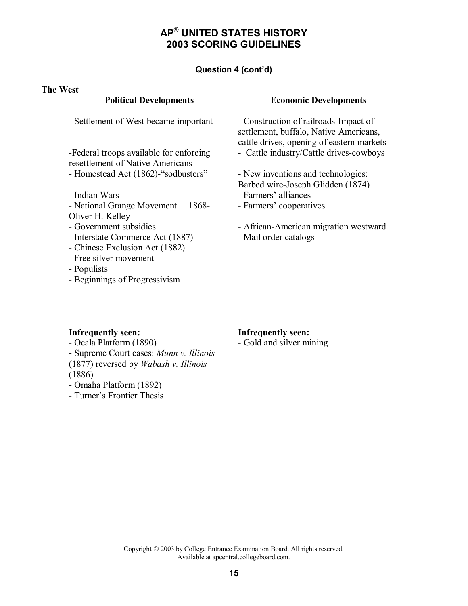## **Question 4 (cont'd)**

#### **The West**

- Settlement of West became important - Construction of railroads-Impact of

-Federal troops available for enforcing resettlement of Native Americans - Homestead Act (1862)-"sodbusters" - New inventions and technologies:

- 
- National Grange Movement 1868- Oliver H. Kelley
- 
- Interstate Commerce Act (1887) Mail order catalogs
- Chinese Exclusion Act (1882)
- Free silver movement
- Populists
- Beginnings of Progressivism

#### **Political Developments Economic Developments**

settlement, buffalo, Native Americans, cattle drives, opening of eastern markets - Cattle industry/Cattle drives-cowboys

Barbed wire-Joseph Glidden (1874)

- Indian Wars  **Farmers' alliances** 
	- Farmers' cooperatives
- Government subsidies African-American migration westward
	-

- Ocala Platform (1890) Gold and silver mining - Supreme Court cases: *Munn v. Illinois*  (1877) reversed by *Wabash v. Illinois* (1886)
- Omaha Platform (1892)
- Turner's Frontier Thesis

#### **Infrequently seen: Infrequently seen:**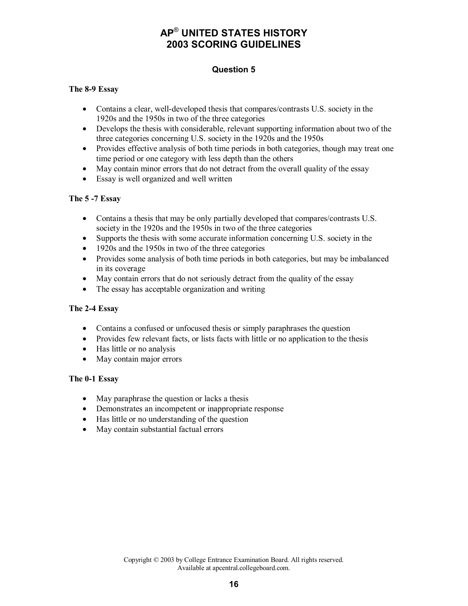# **Question 5**

#### **The 8-9 Essay**

- Contains a clear, well-developed thesis that compares/contrasts U.S. society in the 1920s and the 1950s in two of the three categories
- Develops the thesis with considerable, relevant supporting information about two of the three categories concerning U.S. society in the 1920s and the 1950s
- Provides effective analysis of both time periods in both categories, though may treat one time period or one category with less depth than the others
- May contain minor errors that do not detract from the overall quality of the essay
- Essay is well organized and well written

#### **The 5 -7 Essay**

- Contains a thesis that may be only partially developed that compares/contrasts U.S. society in the 1920s and the 1950s in two of the three categories
- Supports the thesis with some accurate information concerning U.S. society in the
- 1920s and the 1950s in two of the three categories
- Provides some analysis of both time periods in both categories, but may be imbalanced in its coverage
- May contain errors that do not seriously detract from the quality of the essay
- The essay has acceptable organization and writing

## **The 2-4 Essay**

- Contains a confused or unfocused thesis or simply paraphrases the question
- Provides few relevant facts, or lists facts with little or no application to the thesis
- Has little or no analysis
- May contain major errors

## **The 0-1 Essay**

- May paraphrase the question or lacks a thesis
- Demonstrates an incompetent or inappropriate response
- Has little or no understanding of the question
- May contain substantial factual errors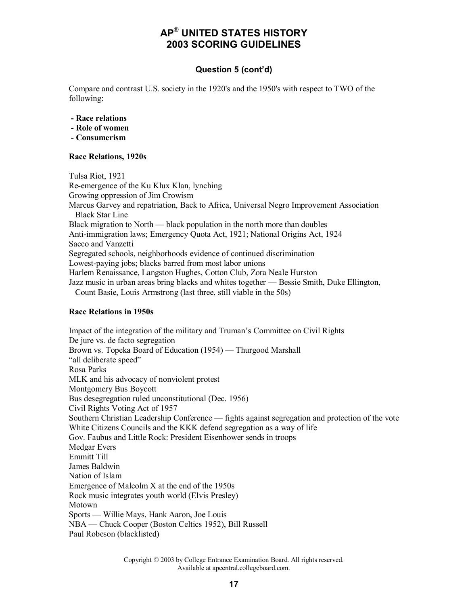# **Question 5 (cont'd)**

Compare and contrast U.S. society in the 1920's and the 1950's with respect to TWO of the following:

- **Race relations**
- **Role of women**
- **Consumerism**

#### **Race Relations, 1920s**

Tulsa Riot, 1921 Re-emergence of the Ku Klux Klan, lynching Growing oppression of Jim Crowism Marcus Garvey and repatriation, Back to Africa, Universal Negro Improvement Association Black Star Line Black migration to North — black population in the north more than doubles Anti-immigration laws; Emergency Quota Act, 1921; National Origins Act, 1924 Sacco and Vanzetti Segregated schools, neighborhoods evidence of continued discrimination Lowest-paying jobs; blacks barred from most labor unions Harlem Renaissance, Langston Hughes, Cotton Club, Zora Neale Hurston Jazz music in urban areas bring blacks and whites together — Bessie Smith, Duke Ellington, Count Basie, Louis Armstrong (last three, still viable in the 50s)

#### **Race Relations in 1950s**

Impact of the integration of the military and Truman's Committee on Civil Rights De jure vs. de facto segregation Brown vs. Topeka Board of Education (1954) — Thurgood Marshall "all deliberate speed" Rosa Parks MLK and his advocacy of nonviolent protest Montgomery Bus Boycott Bus desegregation ruled unconstitutional (Dec. 1956) Civil Rights Voting Act of 1957 Southern Christian Leadership Conference — fights against segregation and protection of the vote White Citizens Councils and the KKK defend segregation as a way of life Gov. Faubus and Little Rock: President Eisenhower sends in troops Medgar Evers Emmitt Till James Baldwin Nation of Islam Emergence of Malcolm X at the end of the 1950s Rock music integrates youth world (Elvis Presley) Motown Sports — Willie Mays, Hank Aaron, Joe Louis NBA — Chuck Cooper (Boston Celtics 1952), Bill Russell Paul Robeson (blacklisted)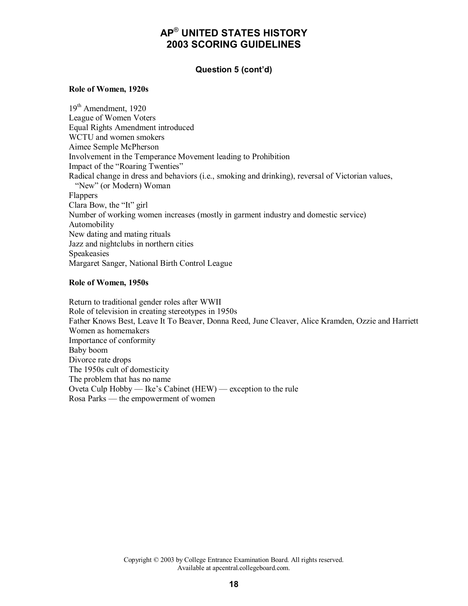#### **Question 5 (cont'd)**

#### **Role of Women, 1920s**

19<sup>th</sup> Amendment, 1920 League of Women Voters Equal Rights Amendment introduced WCTU and women smokers Aimee Semple McPherson Involvement in the Temperance Movement leading to Prohibition Impact of the "Roaring Twenties" Radical change in dress and behaviors (i.e., smoking and drinking), reversal of Victorian values, "New" (or Modern) Woman Flappers Clara Bow, the "It" girl Number of working women increases (mostly in garment industry and domestic service) Automobility New dating and mating rituals Jazz and nightclubs in northern cities Speakeasies Margaret Sanger, National Birth Control League

#### **Role of Women, 1950s**

Return to traditional gender roles after WWII Role of television in creating stereotypes in 1950s Father Knows Best, Leave It To Beaver, Donna Reed, June Cleaver, Alice Kramden, Ozzie and Harriett Women as homemakers Importance of conformity Baby boom Divorce rate drops The 1950s cult of domesticity The problem that has no name Oveta Culp Hobby — Ike's Cabinet (HEW) — exception to the rule Rosa Parks — the empowerment of women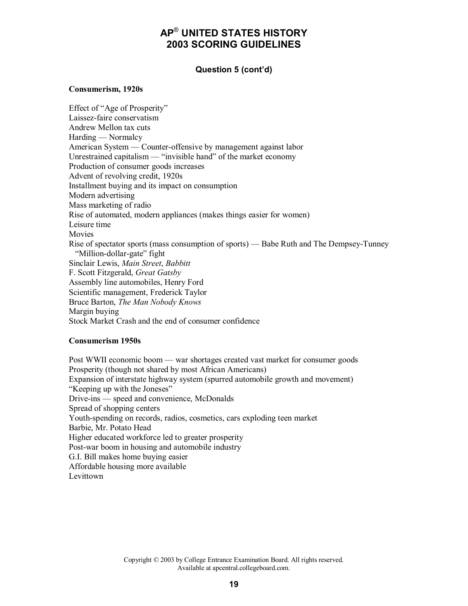## **Question 5 (cont'd)**

#### **Consumerism, 1920s**

Effect of "Age of Prosperity" Laissez-faire conservatism Andrew Mellon tax cuts Harding — Normalcy American System — Counter-offensive by management against labor Unrestrained capitalism — "invisible hand" of the market economy Production of consumer goods increases Advent of revolving credit, 1920s Installment buying and its impact on consumption Modern advertising Mass marketing of radio Rise of automated, modern appliances (makes things easier for women) Leisure time **Movies** Rise of spectator sports (mass consumption of sports) — Babe Ruth and The Dempsey-Tunney "Million-dollar-gate" fight Sinclair Lewis, *Main Street*, *Babbitt* F. Scott Fitzgerald, *Great Gatsby* Assembly line automobiles, Henry Ford Scientific management, Frederick Taylor Bruce Barton, *The Man Nobody Knows* Margin buying Stock Market Crash and the end of consumer confidence

#### **Consumerism 1950s**

Post WWII economic boom — war shortages created vast market for consumer goods Prosperity (though not shared by most African Americans) Expansion of interstate highway system (spurred automobile growth and movement) "Keeping up with the Joneses" Drive-ins — speed and convenience, McDonalds Spread of shopping centers Youth-spending on records, radios, cosmetics, cars exploding teen market Barbie, Mr. Potato Head Higher educated workforce led to greater prosperity Post-war boom in housing and automobile industry G.I. Bill makes home buying easier Affordable housing more available Levittown